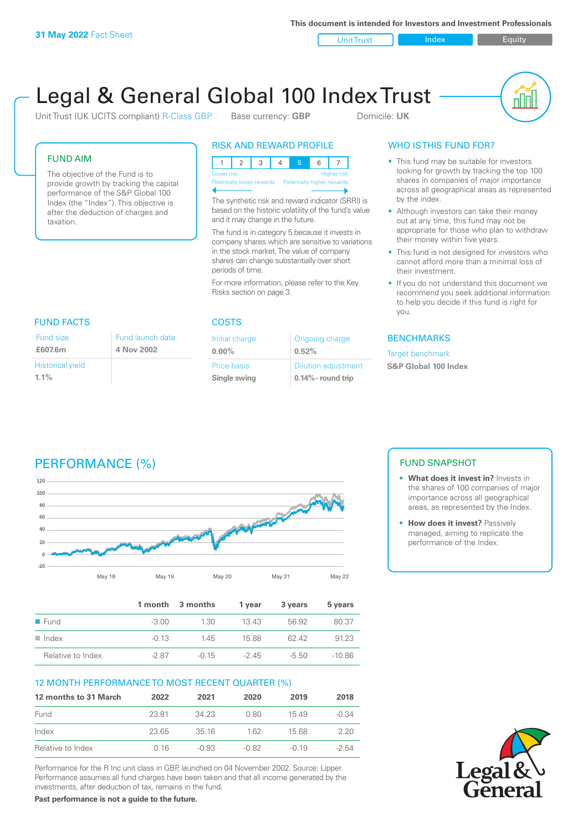**This document is intended for Investors and Investment Professionals**

Unit Trust **Index** Index Equity



# Legal & General Global 100 Index Trust

Unit Trust (UK UCITS compliant) R-Class GBP Base currency: **GBP** Domicile: UK

#### FUND AIM

The objective of the Fund is to provide growth by tracking the capital performance of the S&P Global 100 Index (the "Index"). This objective is after the deduction of charges and taxation.

#### RISK AND REWARD PROFILE

|                           | Lower risk |  |                            |  | <b>Higher risk</b> |
|---------------------------|------------|--|----------------------------|--|--------------------|
| Potentially lower rewards |            |  | Potentially higher rewards |  |                    |
|                           |            |  |                            |  |                    |

The synthetic risk and reward indicator (SRRI) is based on the historic volatility of the fund's value and it may change in the future.

The fund is in category 5 because it invests in company shares which are sensitive to variations in the stock market. The value of company shares can change substantially over short periods of time.

For more information, please refer to the Key Risks section on page 3.

| FUND FACTS              |                  |  |  |
|-------------------------|------------------|--|--|
| Fund size               | Fund launch date |  |  |
| £607.6m                 | 4 Nov 2002       |  |  |
| <b>Historical yield</b> |                  |  |  |
| $1.1\%$                 |                  |  |  |

#### COSTS

| Initial charge     | Ongoing charge             |
|--------------------|----------------------------|
| $0.00\%$           | 0.52%                      |
| <b>Price basis</b> | <b>Dilution adjustment</b> |
| Single swing       | $0.14\%$ - round trip      |

#### WHO IS THIS FUND FOR?

- This fund may be suitable for investors looking for growth by tracking the top 100 shares in companies of major importance across all geographical areas as represented by the index.
- Although investors can take their money out at any time, this fund may not be appropriate for those who plan to withdraw their money within five years.
- This fund is not designed for investors who cannot afford more than a minimal loss of their investment.
- If you do not understand this document we recommend you seek additional information to help you decide if this fund is right for you.

#### **BENCHMARKS**

Target benchmark **S&P Global 100 Index**

## PERFORMANCE (%)



|                      |         | 1 month 3 months | 1 vear | 3 years | 5 years  |
|----------------------|---------|------------------|--------|---------|----------|
| $\blacksquare$ Fund  | $-3.00$ | 1.30             | 1343   | 56.92   | 80.37    |
| $\blacksquare$ Index | $-0.13$ | 145              | 1588   | 62.42   | 91.23    |
| Relative to Index    | -2.87   | $-0.15$          | $-245$ | -5.50   | $-10.86$ |

#### 12 MONTH PERFORMANCE TO MOST RECENT QUARTER (%)

| 12 months to 31 March | 2022  | 2021    | 2020    | 2019    | 2018    |
|-----------------------|-------|---------|---------|---------|---------|
| Fund                  | 23.81 | 34 23   | 0.80    | 1549    | $-0.34$ |
| Index                 | 23.65 | 3516    | 162     | 15.68   | 220     |
| Relative to Index     | 0 16  | $-0.93$ | $-0.82$ | $-0.19$ | $-2.54$ |

Performance for the R Inc unit class in GBP, launched on 04 November 2002. Source: Lipper. Performance assumes all fund charges have been taken and that all income generated by the investments, after deduction of tax, remains in the fund.

**Past performance is not a guide to the future.**

### FUND SNAPSHOT

- **• What does it invest in?** Invests in the shares of 100 companies of major importance across all geographical areas, as represented by the Index.
- **• How does it invest?** Passively managed, aiming to replicate the performance of the Index.

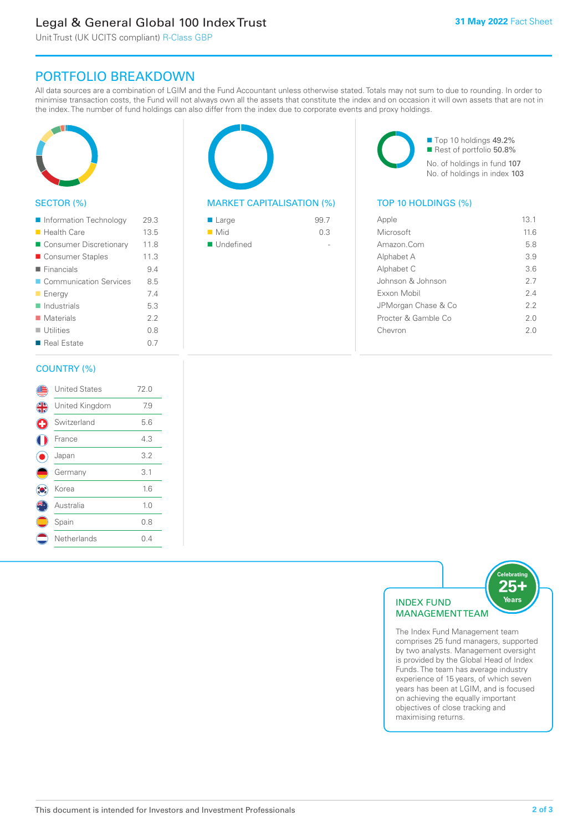### Legal & General Global 100 Index Trust

Unit Trust (UK UCITS compliant) R-Class GBP

### PORTFOLIO BREAKDOWN

All data sources are a combination of LGIM and the Fund Accountant unless otherwise stated. Totals may not sum to due to rounding. In order to minimise transaction costs, the Fund will not always own all the assets that constitute the index and on occasion it will own assets that are not in the index. The number of fund holdings can also differ from the index due to corporate events and proxy holdings.



#### SECTOR (%)

| Information Technology     | 29.3 |
|----------------------------|------|
| <b>Health Care</b>         | 13.5 |
| ■ Consumer Discretionary   | 11.8 |
| ■ Consumer Staples         | 11.3 |
| $\blacksquare$ Financials  | 9.4  |
| ■ Communication Services   | 8.5  |
| <b>Energy</b>              | 7.4  |
| $\blacksquare$ Industrials | 5.3  |
| ■ Materials                | 2.2  |
| $\blacksquare$ Utilities   | 0.8  |
| ■ Real Estate              | 0.7  |
|                            |      |

#### COUNTRY (%)

|    | <b>United States</b> | 72.0 |  |
|----|----------------------|------|--|
| 4  | United Kingdom       | 7.9  |  |
| G  | Switzerland          | 5.6  |  |
|    | France               | 4.3  |  |
|    | Japan                | 3.2  |  |
|    | Germany              | 3.1  |  |
| ٠e | Korea                | 1.6  |  |
|    | Australia            | 1.0  |  |
|    | Spain                | 0.8  |  |
|    | Netherlands          | 0.4  |  |
|    |                      |      |  |



#### MARKET CAPITALISATION (%) TOP 10 HOLDINGS (%)

| ■ Large            | 99.7 |
|--------------------|------|
| $\blacksquare$ Mid | 0.3  |
| ■ Undefined        |      |

■ Top 10 holdings 49.2% Rest of portfolio 50.8% No. of holdings in fund 107 No. of holdings in index 103

| Apple               | 13.1 |
|---------------------|------|
| Microsoft           | 116  |
| Amazon.Com          | 58   |
| Alphabet A          | 3.9  |
| Alphabet C          | 3.6  |
| Johnson & Johnson   | 27   |
| Exxon Mobil         | 24   |
| JPMorgan Chase & Co | 22   |
| Procter & Gamble Co | 2.0  |
| Chevron             | 2 O  |
|                     |      |



The Index Fund Management team comprises 25 fund managers, supported by two analysts. Management oversight is provided by the Global Head of Index Funds. The team has average industry experience of 15 years, of which seven years has been at LGIM, and is focused on achieving the equally important objectives of close tracking and maximising returns.